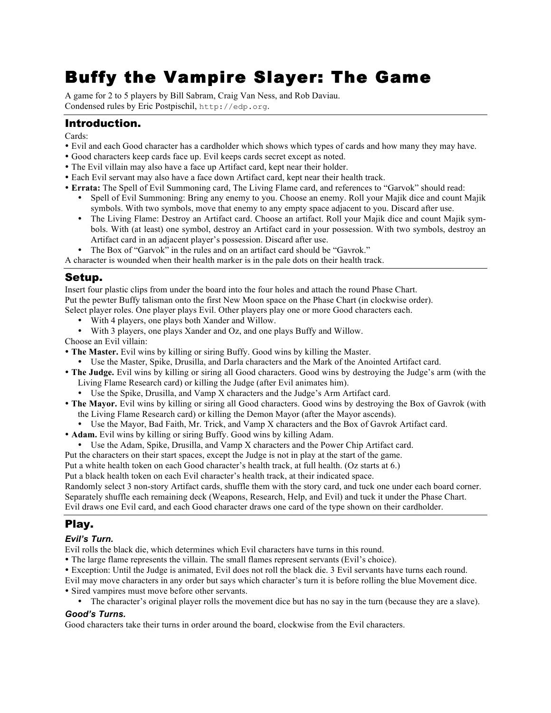# Buffy the Vampire Slayer: The Game

A game for 2 to 5 players by Bill Sabram, Craig Van Ness, and Rob Daviau. Condensed rules by Eric Postpischil, http://edp.org.

## Introduction.

Cards:

- ! Evil and each Good character has a cardholder which shows which types of cards and how many they may have.
- ! Good characters keep cards face up. Evil keeps cards secret except as noted.
- ! The Evil villain may also have a face up Artifact card, kept near their holder.
- ! Each Evil servant may also have a face down Artifact card, kept near their health track.
- ! **Errata:** The Spell of Evil Summoning card, The Living Flame card, and references to "Garvok" should read:
	- Spell of Evil Summoning: Bring any enemy to you. Choose an enemy. Roll your Majik dice and count Majik symbols. With two symbols, move that enemy to any empty space adjacent to you. Discard after use.
	- ! The Living Flame: Destroy an Artifact card. Choose an artifact. Roll your Majik dice and count Majik symbols. With (at least) one symbol, destroy an Artifact card in your possession. With two symbols, destroy an Artifact card in an adjacent player's possession. Discard after use.
	- ! The Box of "Garvok" in the rules and on an artifact card should be "Gavrok."

A character is wounded when their health marker is in the pale dots on their health track.

## Setup.

Insert four plastic clips from under the board into the four holes and attach the round Phase Chart. Put the pewter Buffy talisman onto the first New Moon space on the Phase Chart (in clockwise order). Select player roles. One player plays Evil. Other players play one or more Good characters each.

- ! With 4 players, one plays both Xander and Willow.
- ! With 3 players, one plays Xander and Oz, and one plays Buffy and Willow.

Choose an Evil villain:

- ! **The Master.** Evil wins by killing or siring Buffy. Good wins by killing the Master.
	- ! Use the Master, Spike, Drusilla, and Darla characters and the Mark of the Anointed Artifact card.
- ! **The Judge.** Evil wins by killing or siring all Good characters. Good wins by destroying the Judge's arm (with the Living Flame Research card) or killing the Judge (after Evil animates him).
	- ! Use the Spike, Drusilla, and Vamp X characters and the Judge's Arm Artifact card.
- ! **The Mayor.** Evil wins by killing or siring all Good characters. Good wins by destroying the Box of Gavrok (with the Living Flame Research card) or killing the Demon Mayor (after the Mayor ascends).
	- ! Use the Mayor, Bad Faith, Mr. Trick, and Vamp X characters and the Box of Gavrok Artifact card.
- ! **Adam.** Evil wins by killing or siring Buffy. Good wins by killing Adam.
	- ! Use the Adam, Spike, Drusilla, and Vamp X characters and the Power Chip Artifact card.

Put the characters on their start spaces, except the Judge is not in play at the start of the game.

Put a white health token on each Good character's health track, at full health. (Oz starts at 6.)

Put a black health token on each Evil character's health track, at their indicated space.

Randomly select 3 non-story Artifact cards, shuffle them with the story card, and tuck one under each board corner. Separately shuffle each remaining deck (Weapons, Research, Help, and Evil) and tuck it under the Phase Chart. Evil draws one Evil card, and each Good character draws one card of the type shown on their cardholder.

## Play.

#### *Evil's Turn.*

Evil rolls the black die, which determines which Evil characters have turns in this round.

! The large flame represents the villain. The small flames represent servants (Evil's choice).

! Exception: Until the Judge is animated, Evil does not roll the black die. 3 Evil servants have turns each round.

Evil may move characters in any order but says which character's turn it is before rolling the blue Movement dice. ! Sired vampires must move before other servants.

! The character's original player rolls the movement dice but has no say in the turn (because they are a slave).

#### *Good's Turns.*

Good characters take their turns in order around the board, clockwise from the Evil characters.